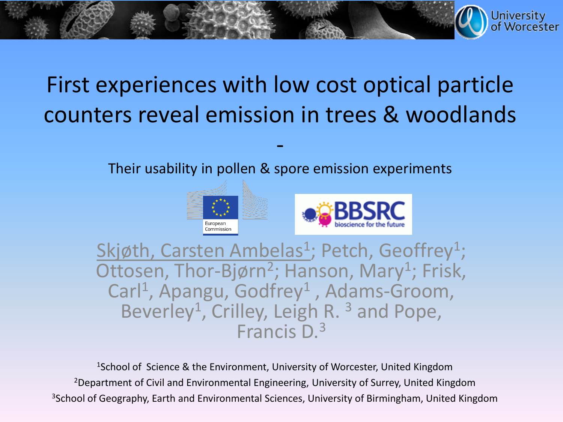### First experiences with low cost optical particle counters reveal emission in trees & woodlands

Their usability in pollen & spore emission experiments

-





**University** 

Skjøth, Carsten Ambelas<sup>1</sup>; Petch, Geoffrey<sup>1</sup>; Ottosen, Thor-Bjørn<sup>2</sup>; Hanson, Mary<sup>1</sup>; Frisk, Carl<sup>1</sup>, Apangu, Godfrey<sup>1</sup>, Adams-Groom, Beverley<sup>1</sup>, Crilley, Leigh R.<sup>3</sup> and Pope, Francis D.3

<sup>1</sup>School of Science & the Environment, University of Worcester, United Kingdom <sup>2</sup>Department of Civil and Environmental Engineering, University of Surrey, United Kingdom <sup>3</sup>School of Geography, Earth and Environmental Sciences, University of Birmingham, United Kingdom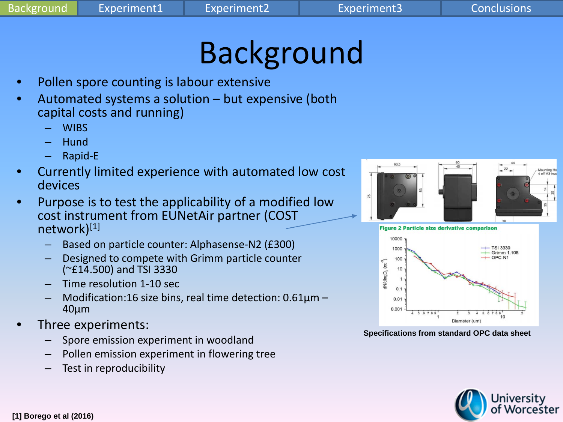# Background

- Pollen spore counting is labour extensive
- Automated systems a solution but expensive (both capital costs and running)
	- WIBS
	- Hund
	- Rapid-E
- Currently limited experience with automated low cost devices
- Purpose is to test the applicability of a modified low cost instrument from EUNetAir partner (COST network)[1]
	- Based on particle counter: Alphasense-N2 (£300)
	- Designed to compete with Grimm particle counter (~£14.500) and TSI 3330
	- Time resolution 1-10 sec
	- Modification:16 size bins, real time detection:  $0.61\mu$ m 40μm
- Three experiments:
	- Spore emission experiment in woodland
	- Pollen emission experiment in flowering tree
	- Test in reproducibility





**Specifications from standard OPC data sheet**

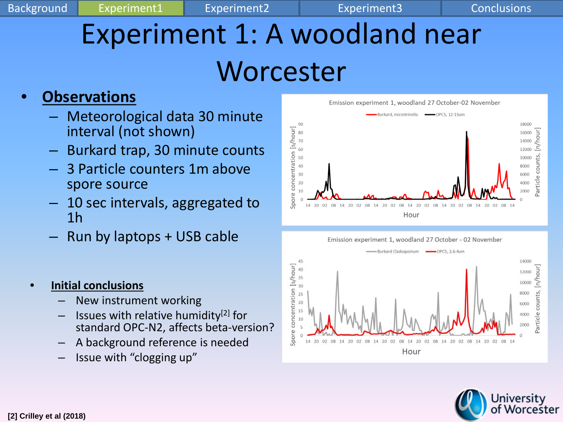## Experiment 1: A woodland near Worcester

### • **Observations**

- Meteorological data 30 minute interval (not shown)
- Burkard trap, 30 minute counts
- 3 Particle counters 1m above spore source
- 10 sec intervals, aggregated to 1h
- Run by laptops + USB cable
- **Initial conclusions**
	- New instrument working
	- Issues with relative humidity<sup>[2]</sup> for standard OPC-N2, affects beta-version?
	- A background reference is needed
	- Issue with "clogging up"





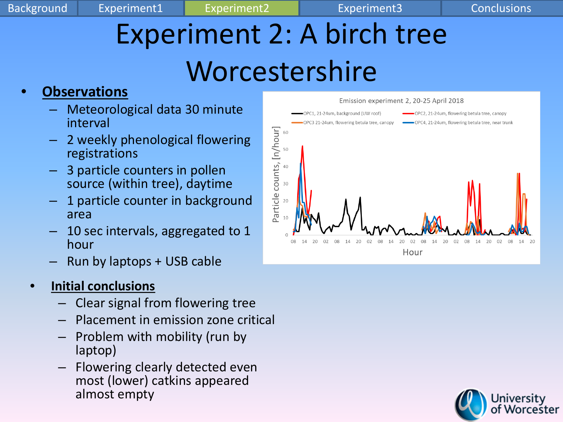Background Experiment1 Experiment2 Experiment3 Conclusions

# Experiment 2: A birch tree Worcestershire

#### • **Observations**

- Meteorological data 30 minute interval
- 2 weekly phenological flowering registrations
- 3 particle counters in pollen source (within tree), daytime
- 1 particle counter in background area
- 10 sec intervals, aggregated to 1 hour
- Run by laptops + USB cable

#### • **Initial conclusions**

- Clear signal from flowering tree
- Placement in emission zone critical
- Problem with mobility (run by laptop)
- Flowering clearly detected even most (lower) catkins appeared almost empty



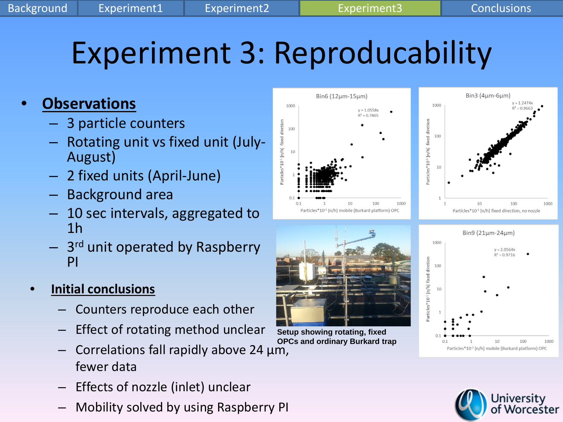## Experiment 3: Reproducability

#### • **Observations**

- 3 particle counters
- Rotating unit vs fixed unit (July- August)
- 2 fixed units (April-June)
- Background area
- 10 sec intervals, aggregated to 1h
- 3<sup>rd</sup> unit operated by Raspberry PI

#### • **Initial conclusions**

- Counters reproduce each other
- Effect of rotating method unclear
- Correlations fall rapidly above 24 μm, fewer data
- Effects of nozzle (inlet) unclear
- Mobility solved by using Raspberry PI





**Setup showing rotating, fixed OPCs and ordinary Burkard trap**